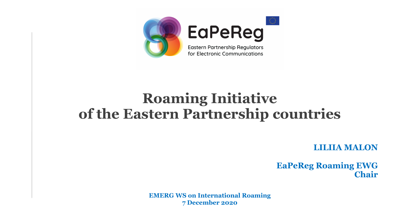

## **Roaming Initiative of the Eastern Partnership countries**

**LILIIA MALON**

**EaPeReg Roaming EWG Chair**

**EMERG WS on International Roaming 7 December 2020**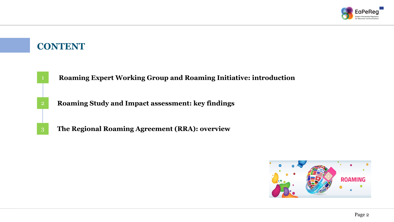

### **CONTENT**

- **Roaming Expert Working Group and Roaming Initiative: introduction**
- 2 **Roaming Study and Impact assessment: key findings**
- 3 **The Regional Roaming Agreement (RRA): overview**

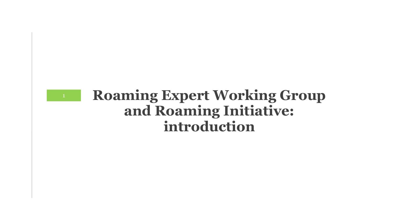

### **Roaming Expert Working Group and Roaming Initiative: introduction**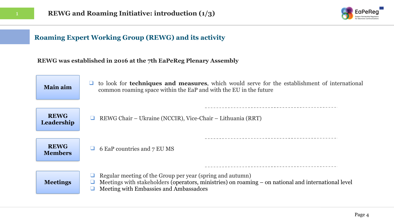

#### **Roaming Expert Working Group (REWG) and its activity**

#### **REWG was established in 2016 at the 7th EaPeReg Plenary Assembly**

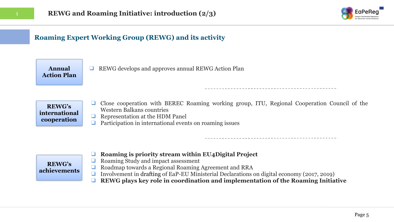

### **Roaming Expert Working Group (REWG) and its activity**

**Annual Action Plan** ❑ REWG develops and approves annual REWG Action Plan

**REWG's international cooperation**

- ❑ Close cooperation with BEREC Roaming working group, ITU, Regional Cooperation Council of the Western Balkans countries
- ❑ Representation at the HDM Panel
- ❑ Participation in international events on roaming issues

#### **REWG's achievements**

- ❑ **Roaming is priority stream within EU4Digital Project**
- ❑ Roaming Study and impact assessment
- ❑ Roadmap towards a Regional Roaming Agreement and RRA
- ❑ Involvement in drafting of EaP-EU Ministerial Declarations on digital economy (2017, 2019)
	- ❑ **REWG plays key role in coordination and implementation of the Roaming Initiative**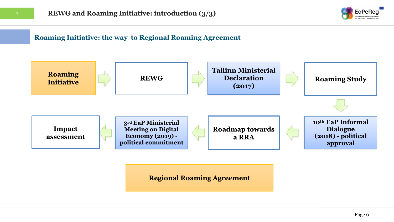

#### **Roaming Initiative: the way to Regional Roaming Agreement**



#### **Regional Roaming Agreement**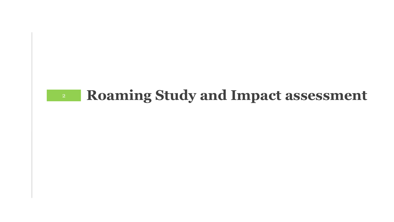# **Roaming Study and Impact assessment**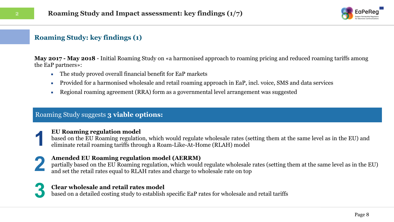

#### **Roaming Study: key findings (1)**

**May 2017 - May 2018** - Initial Roaming Study on «a harmonised approach to roaming pricing and reduced roaming tariffs among the EaP partners»:

- The study proved overall financial benefit for EaP markets
- Provided for a harmonised wholesale and retail roaming approach in EaP, incl. voice, SMS and data services
- Regional roaming agreement (RRA) form as a governmental level arrangement was suggested

#### Roaming Study suggests **3 viable options:**

### **EU Roaming regulation model 1**

based on the EU Roaming regulation, which would regulate wholesale rates (setting them at the same level as in the EU) and eliminate retail roaming tariffs through a Roam-Like-At-Home (RLAH) model

**2 Amended EU Roaming regulation model (AERRM)** partially based on the EU Roaming regulation, which would and set the retail rates equal to RLAH rates and charge to w partially based on the EU Roaming regulation, which would regulate wholesale rates (setting them at the same level as in the EU) and set the retail rates equal to RLAH rates and charge to wholesale rate on top



#### **Clear wholesale and retail rates model**

based on a detailed costing study to establish specific EaP rates for wholesale and retail tariffs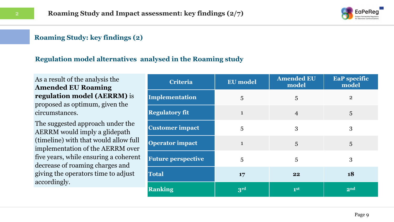

#### **Roaming Study: key findings (2)**

#### **Regulation model alternatives analysed in the Roaming study**

As a result of the analysis the **Amended EU Roaming regulation model (AERRM)** is proposed as optimum, given the circumstances.

The suggested approach under the AERRM would imply a glidepath (timeline) with that would allow full implementation of the AERRM over five years, while ensuring a coherent decrease of roaming charges and giving the operators time to adjust accordingly.

| Criteria                  | <b>EU</b> model | <b>Amended EU</b><br>model | <b>EaP</b> specific<br>model |
|---------------------------|-----------------|----------------------------|------------------------------|
| Implementation            | 5               | 5                          | $\mathbf{2}$                 |
| <b>Regulatory fit</b>     | $\mathbf{1}$    | $\overline{4}$             | 5                            |
| <b>Customer impact</b>    | 5               | 3                          | 3                            |
| <b>Operator impact</b>    | $\mathbf{1}$    | 5                          | 5                            |
| <b>Future perspective</b> | 5               | 5                          | 3                            |
| <b>Total</b>              | 17              | 22                         | 18                           |
| <b>Ranking</b>            | 3rd             | 1 <sup>st</sup>            | 2 <sub>nd</sub>              |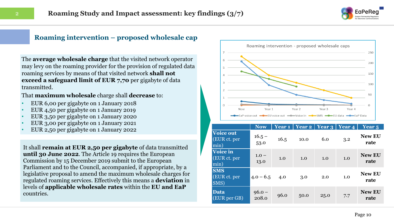

#### **Roaming intervention – proposed wholesale cap**

The **average wholesale charge** that the visited network operator may levy on the roaming provider for the provision of regulated data roaming services by means of that visited network **shall not exceed a safeguard limit of EUR 7,70** per gigabyte of data transmitted.

That **maximum wholesale** charge shall **decrease** to:

- EUR 6,00 per gigabyte on 1 January 2018
- EUR 4,50 per gigabyte on 1 January 2019
- EUR 3,50 per gigabyte on 1 January 2020
- EUR 3,00 per gigabyte on 1 January 2021
- EUR 2,50 per gigabyte on 1 January 2022

It shall **remain at EUR 2,50 per gigabyte** of data transmitted **until 30 June 2022**. The Article 19 requires the European Commission by 15 December 2019 submit to the European Parliament and to the Council, accompanied, if appropriate, by a legislative proposal to amend the maximum wholesale charges for regulated roaming services. Effectively this means a **deviation** in levels of **applicable wholesale rates** within the **EU and EaP**  countries.



|                                          | <b>Now</b>        | Year 1 | Year 2 | Year 3 | Year 4 | <b>Year</b> 5         |
|------------------------------------------|-------------------|--------|--------|--------|--------|-----------------------|
| <b>Voice out</b><br>(EUR ct. per<br>min) | $16.5 -$<br>53.0  | 16.5   | 10.0   | 6.0    | 3.2    | <b>New EU</b><br>rate |
| Voice in<br>(EUR ct. per<br>min)         | $1.0 -$<br>13.0   | 1.0    | 1.0    | 1.0    | 1.0    | <b>New EU</b><br>rate |
| <b>SMS</b><br>(EUR ct. per<br>SMS)       | $4.0 - 6.5$       | 4.0    | 3.0    | 2.0    | 1.0    | <b>New EU</b><br>rate |
| <b>Data</b><br>(EUR per GB)              | $96.0 -$<br>208.0 | 96.0   | 50.0   | 25.0   | 7.7    | <b>New EU</b><br>rate |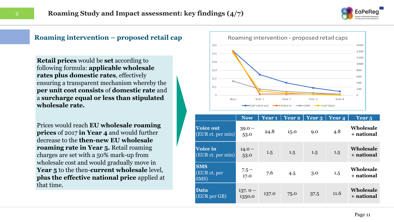

#### **Roaming intervention – proposed retail cap**

**Retail prices** would be **set** according to following formula: **applicable wholesale rates plus domestic rates**, effectively ensuring a transparent mechanism whereby the **per unit cost consists** of **domestic rate** and a **surcharge equal or less than stipulated wholesale rate.** 

Prices would reach **EU wholesale roaming prices** of 2017 **in Year 4** and would further decrease to the **then-new EU wholesale roaming rate in Year 5.** Retail roaming charges are set with a 50% mark-up from wholesale cost and would gradually move in **Year 5** to the then-**current wholesale** level, **plus the effective national price** applied at that time.



|                                       | <b>Now</b>          | Year <sub>1</sub> | <b>Year 2</b> | Year 3 | Year 4 | Year <sub>5</sub>              |
|---------------------------------------|---------------------|-------------------|---------------|--------|--------|--------------------------------|
| <b>Voice out</b><br>(EUR ct. per min) | $39.0 -$<br>53.0    | 24.8              | 15.0          | 9.0    | 4.8    | <b>Wholesale</b><br>+ national |
| Voice in<br>(EUR ct. per min)         | $14.0 -$<br>53.0    | 1.5               | 1.5           | 1.5    | 1.5    | Wholesale<br>+ national        |
| <b>SMS</b><br>(EUR ct. per<br>SMS)    | $7.5 -$<br>17.0     | 7.6               | 4.5           | 3.0    | 1.5    | <b>Wholesale</b><br>+ national |
| Data<br>(EUR per GB)                  | $137.0 -$<br>1350.0 | 137.0             | 75.0          | 37.5   | 11.6   | <b>Wholesale</b><br>+ national |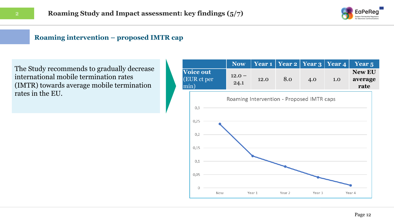

#### **Roaming intervention – proposed IMTR cap**

The Study recommends to gradually decrease international mobile termination rates (IMTR) towards average mobile termination rates in the EU.

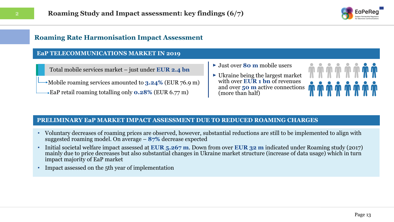

#### **Roaming Rate Harmonisation Impact Assessment**

#### **EaP TELECOMMUNICATIONS MARKET IN 2019**

Total mobile services market – just under **EUR 2.4 bn**

Mobile roaming services amounted to **3.24%** (EUR 76.9 m)

EaP retail roaming totalling only **0.28%** (EUR 6.77 m)

- ► Just over **80 m** mobile users
- ► Ukraine being the largest market with over **EUR 1 bn** of revenues and over **50 m** active connections (more than half)



#### **PRELIMINARY EaP MARKET IMPACT ASSESSMENT DUE TO REDUCED ROAMING CHARGES**

- Voluntary decreases of roaming prices are observed, however, substantial reductions are still to be implemented to align with suggested roaming model. On average – **87%** decrease expected
- Initial societal welfare impact assessed at **EUR 5.267 m**. Down from over **EUR 32 m** indicated under Roaming study (2017) mainly due to price decreases but also substantial changes in Ukraine market structure (increase of data usage) which in turn impact majority of EaP market
- Impact assessed on the 5th year of implementation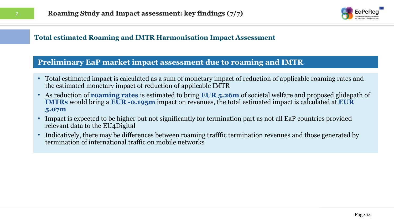

#### **Total estimated Roaming and IMTR Harmonisation Impact Assessment**

### **Preliminary EaP market impact assessment due to roaming and IMTR**

- Total estimated impact is calculated as a sum of monetary impact of reduction of applicable roaming rates and the estimated monetary impact of reduction of applicable IMTR
- As reduction of **roaming rates** is estimated to bring **EUR 5.26m** of societal welfare and proposed glidepath of **IMTRs** would bring a **EUR -0.195m** impact on revenues, the total estimated impact is calculated at **EUR 5.07m**
- Impact is expected to be higher but not significantly for termination part as not all EaP countries provided relevant data to the EU4Digital
- Indicatively, there may be differences between roaming trafffic termination revenues and those generated by termination of international traffic on mobile networks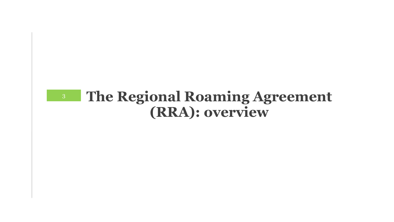### **The Regional Roaming Agreement (RRA): overview**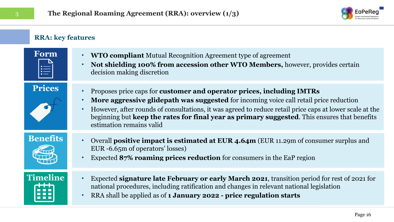

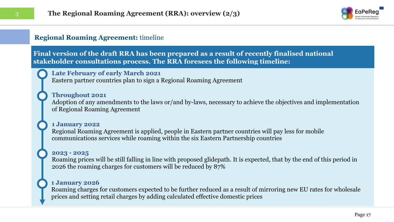

#### **Regional Roaming Agreement:** timeline

**Final version of the draft RRA has been prepared as a result of recently finalised national stakeholder consultations process. The RRA foresees the following timeline:**

#### **Late February of early March 2021**

Eastern partner countries plan to sign a Regional Roaming Agreement

#### **Throughout 2021**

Adoption of any amendments to the laws or/and by-laws, necessary to achieve the objectives and implementation of Regional Roaming Agreement

#### **1 January 2022**

Regional Roaming Agreement is applied, people in Eastern partner countries will pay less for mobile communications services while roaming within the six Eastern Partnership countries

#### **2023 - 2025**

Roaming prices will be still falling in line with proposed glidepath. It is expected, that by the end of this period in 2026 the roaming charges for customers will be reduced by 87%

#### **1 January 2026**

Roaming charges for customers expected to be further reduced as a result of mirroring new EU rates for wholesale prices and setting retail charges by adding calculated effective domestic prices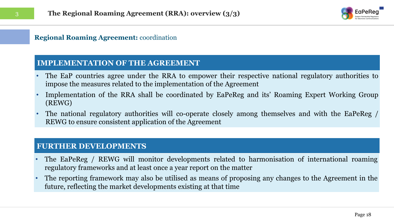

#### **Regional Roaming Agreement:** coordination

#### **IMPLEMENTATION OF THE AGREEMENT**

- The EaP countries agree under the RRA to empower their respective national regulatory authorities to impose the measures related to the implementation of the Agreement
- Implementation of the RRA shall be coordinated by EaPeReg and its' Roaming Expert Working Group (REWG)
- The national regulatory authorities will co-operate closely among themselves and with the EaPeReg / REWG to ensure consistent application of the Agreement

#### **FURTHER DEVELOPMENTS**

- The EaPeReg / REWG will monitor developments related to harmonisation of international roaming regulatory frameworks and at least once a year report on the matter
- The reporting framework may also be utilised as means of proposing any changes to the Agreement in the future, reflecting the market developments existing at that time